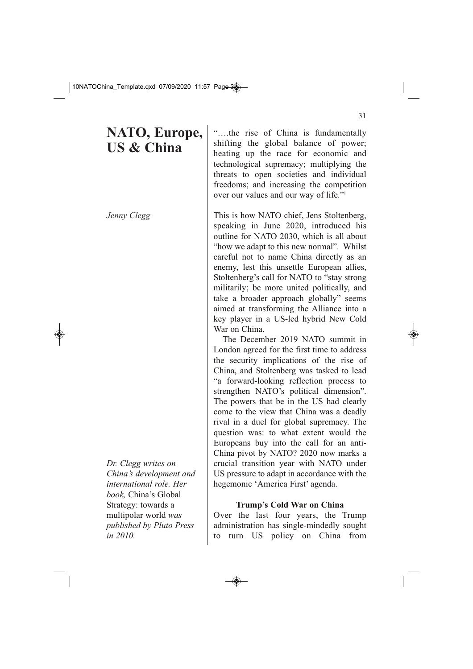# **NATO, Europe, US & China**

*Jenny Clegg*

*Dr. Clegg writes on China's development and international role. Her book,* China's Global Strategy: towards a multipolar world *was published by Pluto Press in 2010.*

"….the rise of China is fundamentally shifting the global balance of power; heating up the race for economic and technological supremacy; multiplying the threats to open societies and individual freedoms; and increasing the competition over our values and our way of life."1

This is how NATO chief, Jens Stoltenberg, speaking in June 2020, introduced his outline for NATO 2030, which is all about "how we adapt to this new normal". Whilst careful not to name China directly as an enemy, lest this unsettle European allies, Stoltenberg's call for NATO to "stay strong militarily; be more united politically, and take a broader approach globally" seems aimed at transforming the Alliance into a key player in a US-led hybrid New Cold War on China.

The December 2019 NATO summit in London agreed for the first time to address the security implications of the rise of China, and Stoltenberg was tasked to lead "a forward-looking reflection process to strengthen NATO's political dimension". The powers that be in the US had clearly come to the view that China was a deadly rival in a duel for global supremacy. The question was: to what extent would the Europeans buy into the call for an anti-China pivot by NATO? 2020 now marks a crucial transition year with NATO under US pressure to adapt in accordance with the hegemonic 'America First' agenda.

# **Trump's Cold War on China**

Over the last four years, the Trump administration has single-mindedly sought to turn US policy on China from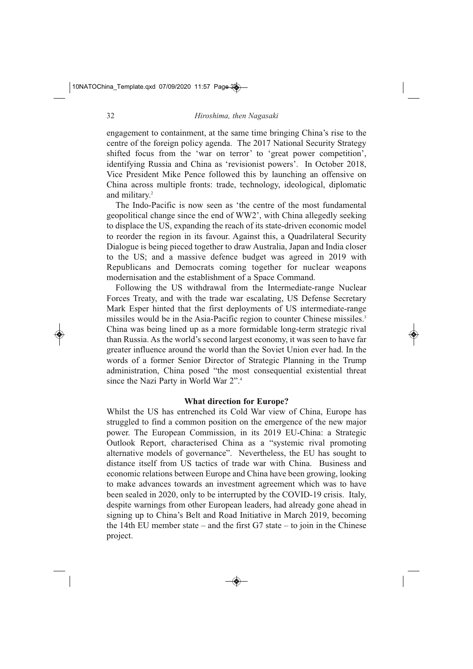engagement to containment, at the same time bringing China's rise to the centre of the foreign policy agenda. The 2017 National Security Strategy shifted focus from the 'war on terror' to 'great power competition', identifying Russia and China as 'revisionist powers'. In October 2018, Vice President Mike Pence followed this by launching an offensive on China across multiple fronts: trade, technology, ideological, diplomatic and military.2

The Indo-Pacific is now seen as 'the centre of the most fundamental geopolitical change since the end of WW2', with China allegedly seeking to displace the US, expanding the reach of its state-driven economic model to reorder the region in its favour. Against this, a Quadrilateral Security Dialogue is being pieced together to draw Australia, Japan and India closer to the US; and a massive defence budget was agreed in 2019 with Republicans and Democrats coming together for nuclear weapons modernisation and the establishment of a Space Command.

Following the US withdrawal from the Intermediate-range Nuclear Forces Treaty, and with the trade war escalating, US Defense Secretary Mark Esper hinted that the first deployments of US intermediate-range missiles would be in the Asia-Pacific region to counter Chinese missiles.<sup>3</sup> China was being lined up as a more formidable long-term strategic rival than Russia. As the world's second largest economy, it was seen to have far greater influence around the world than the Soviet Union ever had. In the words of a former Senior Director of Strategic Planning in the Trump administration, China posed "the most consequential existential threat since the Nazi Party in World War 2".4

#### **What direction for Europe?**

Whilst the US has entrenched its Cold War view of China, Europe has struggled to find a common position on the emergence of the new major power. The European Commission, in its 2019 EU-China: a Strategic Outlook Report, characterised China as a "systemic rival promoting alternative models of governance". Nevertheless, the EU has sought to distance itself from US tactics of trade war with China. Business and economic relations between Europe and China have been growing, looking to make advances towards an investment agreement which was to have been sealed in 2020, only to be interrupted by the COVID-19 crisis. Italy, despite warnings from other European leaders, had already gone ahead in signing up to China's Belt and Road Initiative in March 2019, becoming the 14th EU member state – and the first  $G7$  state – to join in the Chinese project.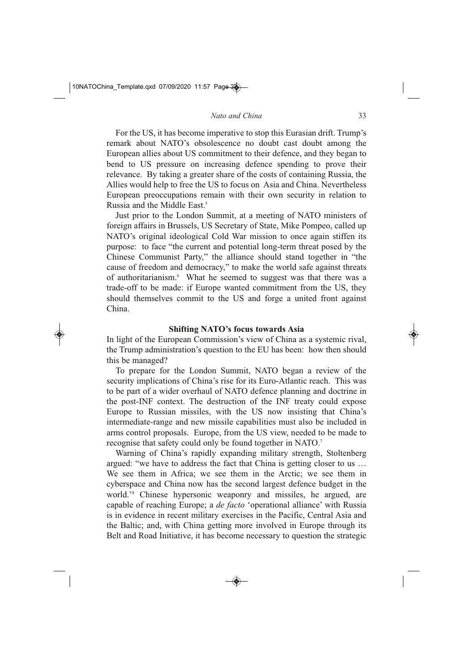For the US, it has become imperative to stop this Eurasian drift. Trump's remark about NATO's obsolescence no doubt cast doubt among the European allies about US commitment to their defence, and they began to bend to US pressure on increasing defence spending to prove their relevance. By taking a greater share of the costs of containing Russia, the Allies would help to free the US to focus on Asia and China. Nevertheless European preoccupations remain with their own security in relation to Russia and the Middle East.<sup>5</sup>

Just prior to the London Summit, at a meeting of NATO ministers of foreign affairs in Brussels, US Secretary of State, Mike Pompeo, called up NATO's original ideological Cold War mission to once again stiffen its purpose: to face "the current and potential long-term threat posed by the Chinese Communist Party," the alliance should stand together in "the cause of freedom and democracy," to make the world safe against threats of authoritarianism.6 What he seemed to suggest was that there was a trade-off to be made: if Europe wanted commitment from the US, they should themselves commit to the US and forge a united front against China.

# **Shifting NATO's focus towards Asia**

In light of the European Commission's view of China as a systemic rival, the Trump administration's question to the EU has been: how then should this be managed?

To prepare for the London Summit, NATO began a review of the security implications of China's rise for its Euro-Atlantic reach. This was to be part of a wider overhaul of NATO defence planning and doctrine in the post-INF context. The destruction of the INF treaty could expose Europe to Russian missiles, with the US now insisting that China's intermediate-range and new missile capabilities must also be included in arms control proposals. Europe, from the US view, needed to be made to recognise that safety could only be found together in NATO.7

Warning of China's rapidly expanding military strength, Stoltenberg argued: "we have to address the fact that China is getting closer to us … We see them in Africa; we see them in the Arctic; we see them in cyberspace and China now has the second largest defence budget in the world.'8 Chinese hypersonic weaponry and missiles, he argued, are capable of reaching Europe; a *de facto* 'operational alliance' with Russia is in evidence in recent military exercises in the Pacific, Central Asia and the Baltic; and, with China getting more involved in Europe through its Belt and Road Initiative, it has become necessary to question the strategic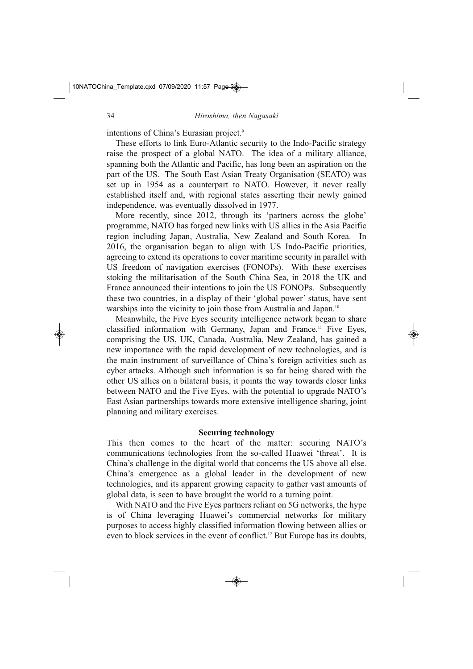intentions of China's Eurasian project.9

These efforts to link Euro-Atlantic security to the Indo-Pacific strategy raise the prospect of a global NATO. The idea of a military alliance, spanning both the Atlantic and Pacific, has long been an aspiration on the part of the US. The South East Asian Treaty Organisation (SEATO) was set up in 1954 as a counterpart to NATO. However, it never really established itself and, with regional states asserting their newly gained independence, was eventually dissolved in 1977.

More recently, since 2012, through its 'partners across the globe' programme, NATO has forged new links with US allies in the Asia Pacific region including Japan, Australia, New Zealand and South Korea. In 2016, the organisation began to align with US Indo-Pacific priorities, agreeing to extend its operations to cover maritime security in parallel with US freedom of navigation exercises (FONOPs). With these exercises stoking the militarisation of the South China Sea, in 2018 the UK and France announced their intentions to join the US FONOPs. Subsequently these two countries, in a display of their 'global power' status, have sent warships into the vicinity to join those from Australia and Japan.<sup>10</sup>

Meanwhile, the Five Eyes security intelligence network began to share classified information with Germany, Japan and France.11 Five Eyes, comprising the US, UK, Canada, Australia, New Zealand, has gained a new importance with the rapid development of new technologies, and is the main instrument of surveillance of China's foreign activities such as cyber attacks. Although such information is so far being shared with the other US allies on a bilateral basis, it points the way towards closer links between NATO and the Five Eyes, with the potential to upgrade NATO's East Asian partnerships towards more extensive intelligence sharing, joint planning and military exercises.

#### **Securing technology**

This then comes to the heart of the matter: securing NATO's communications technologies from the so-called Huawei 'threat'. It is China's challenge in the digital world that concerns the US above all else. China's emergence as a global leader in the development of new technologies, and its apparent growing capacity to gather vast amounts of global data, is seen to have brought the world to a turning point.

With NATO and the Five Eyes partners reliant on 5G networks, the hype is of China leveraging Huawei's commercial networks for military purposes to access highly classified information flowing between allies or even to block services in the event of conflict.12 But Europe has its doubts,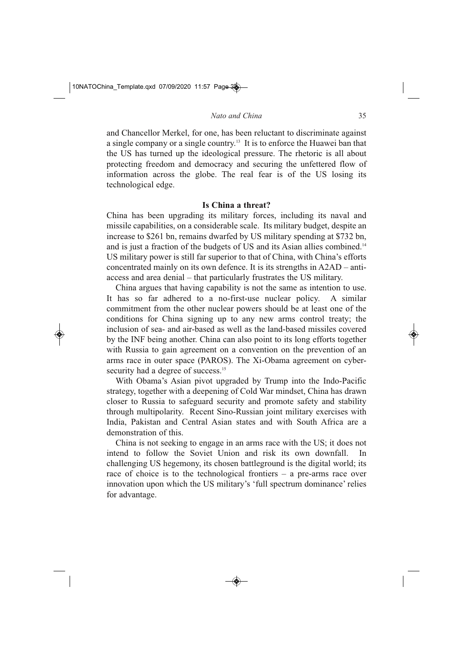and Chancellor Merkel, for one, has been reluctant to discriminate against a single company or a single country.13 It is to enforce the Huawei ban that the US has turned up the ideological pressure. The rhetoric is all about protecting freedom and democracy and securing the unfettered flow of information across the globe. The real fear is of the US losing its technological edge.

# **Is China a threat?**

China has been upgrading its military forces, including its naval and missile capabilities, on a considerable scale. Its military budget, despite an increase to \$261 bn, remains dwarfed by US military spending at \$732 bn, and is just a fraction of the budgets of US and its Asian allies combined.<sup>14</sup> US military power is still far superior to that of China, with China's efforts concentrated mainly on its own defence. It is its strengths in A2AD – antiaccess and area denial – that particularly frustrates the US military.

China argues that having capability is not the same as intention to use. It has so far adhered to a no-first-use nuclear policy. A similar commitment from the other nuclear powers should be at least one of the conditions for China signing up to any new arms control treaty; the inclusion of sea- and air-based as well as the land-based missiles covered by the INF being another. China can also point to its long efforts together with Russia to gain agreement on a convention on the prevention of an arms race in outer space (PAROS). The Xi-Obama agreement on cybersecurity had a degree of success.<sup>15</sup>

With Obama's Asian pivot upgraded by Trump into the Indo-Pacific strategy, together with a deepening of Cold War mindset, China has drawn closer to Russia to safeguard security and promote safety and stability through multipolarity. Recent Sino-Russian joint military exercises with India, Pakistan and Central Asian states and with South Africa are a demonstration of this.

China is not seeking to engage in an arms race with the US; it does not intend to follow the Soviet Union and risk its own downfall. In challenging US hegemony, its chosen battleground is the digital world; its race of choice is to the technological frontiers  $-$  a pre-arms race over innovation upon which the US military's 'full spectrum dominance' relies for advantage.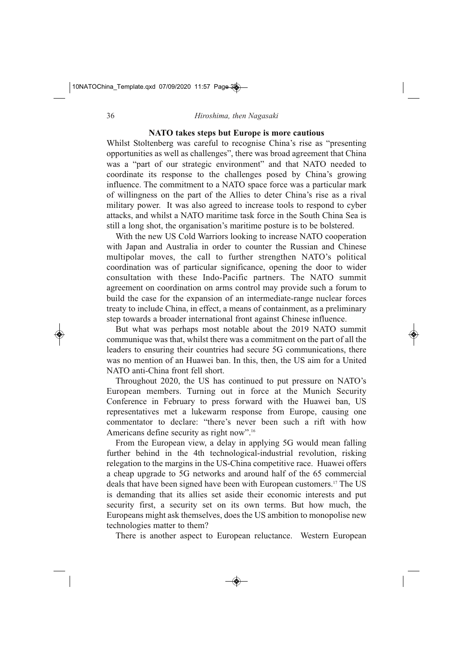### **NATO takes steps but Europe is more cautious**

Whilst Stoltenberg was careful to recognise China's rise as "presenting opportunities as well as challenges", there was broad agreement that China was a "part of our strategic environment" and that NATO needed to coordinate its response to the challenges posed by China's growing influence. The commitment to a NATO space force was a particular mark of willingness on the part of the Allies to deter China's rise as a rival military power. It was also agreed to increase tools to respond to cyber attacks, and whilst a NATO maritime task force in the South China Sea is still a long shot, the organisation's maritime posture is to be bolstered.

With the new US Cold Warriors looking to increase NATO cooperation with Japan and Australia in order to counter the Russian and Chinese multipolar moves, the call to further strengthen NATO's political coordination was of particular significance, opening the door to wider consultation with these Indo-Pacific partners. The NATO summit agreement on coordination on arms control may provide such a forum to build the case for the expansion of an intermediate-range nuclear forces treaty to include China, in effect, a means of containment, as a preliminary step towards a broader international front against Chinese influence.

But what was perhaps most notable about the 2019 NATO summit communique was that, whilst there was a commitment on the part of all the leaders to ensuring their countries had secure 5G communications, there was no mention of an Huawei ban. In this, then, the US aim for a United NATO anti-China front fell short.

Throughout 2020, the US has continued to put pressure on NATO's European members. Turning out in force at the Munich Security Conference in February to press forward with the Huawei ban, US representatives met a lukewarm response from Europe, causing one commentator to declare: "there's never been such a rift with how Americans define security as right now".16

From the European view, a delay in applying 5G would mean falling further behind in the 4th technological-industrial revolution, risking relegation to the margins in the US-China competitive race. Huawei offers a cheap upgrade to 5G networks and around half of the 65 commercial deals that have been signed have been with European customers.17 The US is demanding that its allies set aside their economic interests and put security first, a security set on its own terms. But how much, the Europeans might ask themselves, does the US ambition to monopolise new technologies matter to them?

There is another aspect to European reluctance. Western European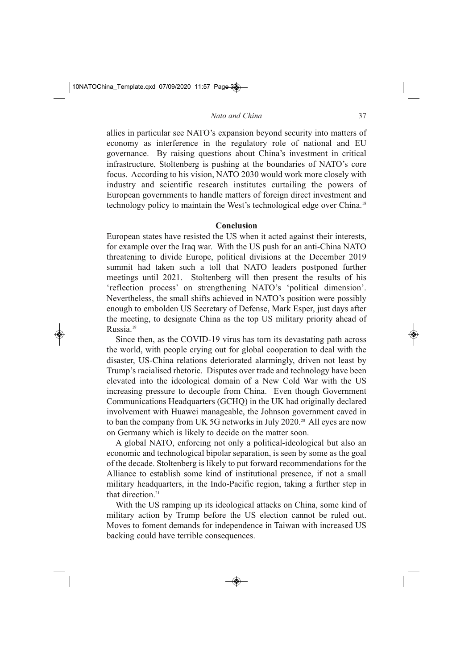*Nato and China*

allies in particular see NATO's expansion beyond security into matters of economy as interference in the regulatory role of national and EU governance. By raising questions about China's investment in critical infrastructure, Stoltenberg is pushing at the boundaries of NATO's core focus. According to his vision, NATO 2030 would work more closely with industry and scientific research institutes curtailing the powers of European governments to handle matters of foreign direct investment and technology policy to maintain the West's technological edge over China.<sup>18</sup>

#### **Conclusion**

European states have resisted the US when it acted against their interests, for example over the Iraq war. With the US push for an anti-China NATO threatening to divide Europe, political divisions at the December 2019 summit had taken such a toll that NATO leaders postponed further meetings until 2021. Stoltenberg will then present the results of his 'reflection process' on strengthening NATO's 'political dimension'. Nevertheless, the small shifts achieved in NATO's position were possibly enough to embolden US Secretary of Defense, Mark Esper, just days after the meeting, to designate China as the top US military priority ahead of Russia.19

Since then, as the COVID-19 virus has torn its devastating path across the world, with people crying out for global cooperation to deal with the disaster, US-China relations deteriorated alarmingly, driven not least by Trump's racialised rhetoric. Disputes over trade and technology have been elevated into the ideological domain of a New Cold War with the US increasing pressure to decouple from China. Even though Government Communications Headquarters (GCHQ) in the UK had originally declared involvement with Huawei manageable, the Johnson government caved in to ban the company from UK 5G networks in July 2020.<sup>20</sup> All eyes are now on Germany which is likely to decide on the matter soon.

A global NATO, enforcing not only a political-ideological but also an economic and technological bipolar separation, is seen by some as the goal of the decade. Stoltenberg is likely to put forward recommendations for the Alliance to establish some kind of institutional presence, if not a small military headquarters, in the Indo-Pacific region, taking a further step in that direction $21$ 

With the US ramping up its ideological attacks on China, some kind of military action by Trump before the US election cannot be ruled out. Moves to foment demands for independence in Taiwan with increased US backing could have terrible consequences.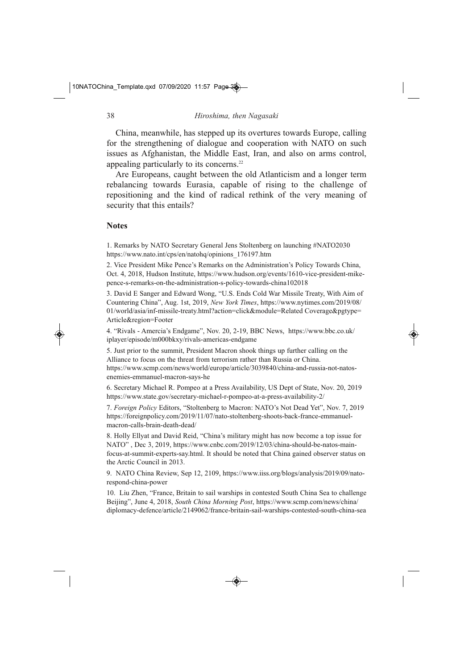China, meanwhile, has stepped up its overtures towards Europe, calling for the strengthening of dialogue and cooperation with NATO on such issues as Afghanistan, the Middle East, Iran, and also on arms control, appealing particularly to its concerns.22

Are Europeans, caught between the old Atlanticism and a longer term rebalancing towards Eurasia, capable of rising to the challenge of repositioning and the kind of radical rethink of the very meaning of security that this entails?

# **Notes**

1. Remarks by NATO Secretary General Jens Stoltenberg on launching #NATO2030 https://www.nato.int/cps/en/natohq/opinions\_176197.htm

2. Vice President Mike Pence's Remarks on the Administration's Policy Towards China, Oct. 4, 2018, Hudson Institute, https://www.hudson.org/events/1610-vice-president-mikepence-s-remarks-on-the-administration-s-policy-towards-china102018

3. David E Sanger and Edward Wong, "U.S. Ends Cold War Missile Treaty, With Aim of Countering China", Aug. 1st, 2019, *New York Times*, https://www.nytimes.com/2019/08/ 01/world/asia/inf-missile-treaty.html?action=click&module=Related Coverage&pgtype= Article&region=Footer

4. "Rivals - Amercia's Endgame", Nov. 20, 2-19, BBC News, https://www.bbc.co.uk/ iplayer/episode/m000bkxy/rivals-americas-endgame

5. Just prior to the summit, President Macron shook things up further calling on the Alliance to focus on the threat from terrorism rather than Russia or China. https://www.scmp.com/news/world/europe/article/3039840/china-and-russia-not-natosenemies-emmanuel-macron-says-he

6. Secretary Michael R. Pompeo at a Press Availability, US Dept of State, Nov. 20, 2019 https://www.state.gov/secretary-michael-r-pompeo-at-a-press-availability-2/

7. *Foreign Policy* Editors, "Stoltenberg to Macron: NATO's Not Dead Yet", Nov. 7, 2019 https://foreignpolicy.com/2019/11/07/nato-stoltenberg-shoots-back-france-emmanuelmacron-calls-brain-death-dead/

8. Holly Ellyat and David Reid, "China's military might has now become a top issue for NATO", Dec 3, 2019, https://www.cnbc.com/2019/12/03/china-should-be-natos-mainfocus-at-summit-experts-say.html. It should be noted that China gained observer status on the Arctic Council in 2013.

9. NATO China Review, Sep 12, 2109, https://www.iiss.org/blogs/analysis/2019/09/natorespond-china-power

10. Liu Zhen, "France, Britain to sail warships in contested South China Sea to challenge Beijing", June 4, 2018, *South China Morning Post*, https://www.scmp.com/news/china/ diplomacy-defence/article/2149062/france-britain-sail-warships-contested-south-china-sea